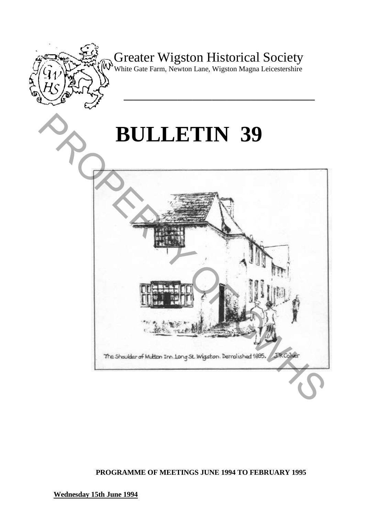

Greater Wigston Historical Society

White Gate Farm, Newton Lane, Wigston Magna Leicestershire

**\_\_\_\_\_\_\_\_\_\_\_\_\_\_\_\_\_\_\_\_\_\_\_\_\_\_\_\_\_\_\_\_\_\_\_\_\_\_\_** 

# **BULLETIN 39**



**PROGRAMME OF MEETINGS JUNE 1994 TO FEBRUARY 1995** 

**Wednesday 15th June 1994**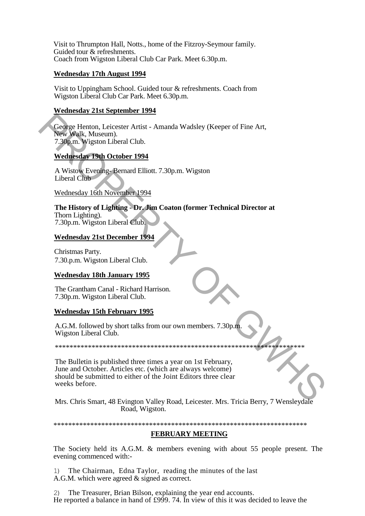Visit to Thrumpton Hall, Notts., home of the Fitzroy-Seymour family. Guided tour & refreshments. Coach from Wigston Liberal Club Car Park. Meet 6.30p.m.

# **Wednesday 17th August 1994**

Visit to Uppingham School. Guided tour & refreshments. Coach from Wigston Liberal Club Car Park. Meet 6.30p.m.

# **Wednesday 21st September 1994**

George Henton, Leicester Artist - Amanda Wadsley (Keeper of Fine Art, New Walk, Museum). 7.30p.m. Wigston Liberal Club.

# **Wednesday 19th October 1994**

A Wistow Evening- Bernard Elliott. 7.30p.m. Wigston Liberal Club

Wednesday 16th November 1994

#### **The History of Lighting - Dr. Jim Coaton (former Technical Director at**  Thorn Lighting). 7.30p.m. Wigston Liberal Club.

# **Wednesday 21st December 1994**

Christmas Party. 7.30.p.m. Wigston Liberal Club.

# **Wednesday 18th January 1995**

The Grantham Canal - Richard Harrison. 7.30p.m. Wigston Liberal Club.

# **Wednesday 15th February 1995**

A.G.M. followed by short talks from our own members. 7.30p.m. Wigston Liberal Club.

\*\*\*\*\*\*\*\*\*\*\*\*\*\*\*\*\*\*\*\*\*\*\*\*\*\*\*\*\*\*\*\*\*\*\*\*\*\*\*\*\*\*\*\*\*\*\*\*\*\*\*\*\*\*\*\*\*\*\*\*\*\*\*\*\*\*\*\*

The Bulletin is published three times a year on 1st February, June and October. Articles etc. (which are always welcome) should be submitted to either of the Joint Editors three clear weeks before. George Henton, Leicester Artist - Amanda Wadsley (Keeper of Fine Art,<br>
New Walk, Museum),<br>
7.5 (Man, Wiston Liberal Club,<br>
Wednesday 19th October 1994<br>
A Wistow Evening-Bernard Elliott, 7.30p.m. Wigston<br>
Liberal Club<br>
Wedn

Mrs. Chris Smart, 48 Evington Valley Road, Leicester. Mrs. Tricia Berry, 7 Wensleydale Road, Wigston.

#### \*\*\*\*\*\*\*\*\*\*\*\*\*\*\*\*\*\*\*\*\*\*\*\*\*\*\*\*\*\*\*\*\*\*\*\*\*\*\*\*\*\*\*\*\*\*\*\*\*\*\*\*\*\*\*\*\*\*\*\*\*\*\*\*\*\*\*\*\*

# **FEBRUARY MEETING**

The Society held its A.G.M. & members evening with about 55 people present. The evening commenced with:-

1) The Chairman, Edna Taylor, reading the minutes of the last A.G.M. which were agreed & signed as correct.

2) The Treasurer, Brian Bilson, explaining the year end accounts. He reported a balance in hand of £999. 74. In view of this it was decided to leave the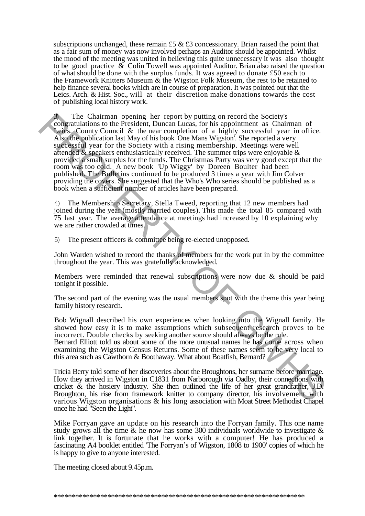subscriptions unchanged, these remain £5  $\&$  £3 concessionary. Brian raised the point that as a fair sum of money was now involved perhaps an Auditor should be appointed. Whilst the mood of the meeting was united in believing this quite unnecessary it was also thought to be good practice  $\&$  Colin Towell was appointed Auditor. Brian also raised the question of what should be done with the surplus funds. It was agreed to donate £50 each to the Framework Knitters Museum & the Wigston Folk Museum, the rest to be retained to help finance several books which are in course of preparation. It was pointed out that the Leics. Arch. & Hist. Soc., will at their discretion make donations towards the cost of publishing local history work.

The Chairman opening her report by putting on record the Society's congratulations to the President, Duncan Lucas, for his appointment as Chairman of Leics. County Council & the near completion of a highly successful year in office. Also the publication last May of his book 'One Mans Wigston'. She reported a very successful year for the Society with a rising membership. Meetings were well attended  $\&$  speakers enthusiastically received. The summer trips were enjoyable  $\&$ provided a small surplus for the funds. The Christmas Party was very good except that the room was too cold. A new book 'Up Wiggy' by Doreen Boulter had been published. The Bulletins continued to be produced 3 times a year with Jim Colver providing the covers. She suggested that the Who's Who series should be published as a book when a sufficient number of articles have been prepared. The Chairman opening her report by putting on record the Society's comparaturants of the President, Duncan Lucas, for his appointment as Chairman of Leist-County Council & the near completion of a highly successil year in

4) The Membership Secretary, Stella Tweed, reporting that 12 new members had joined during the year (mostly married couples). This made the total 85 compared with 75 last year. The average attendance at meetings had increased by 10 explaining why we are rather crowded at times.

5) The present officers & committee being re-elected unopposed.

John Warden wished to record the thanks of members for the work put in by the committee throughout the year. This was gratefully acknowledged.

Members were reminded that renewal subscriptions were now due & should be paid tonight if possible.

The second part of the evening was the usual members spot with the theme this year being family history research.

Bob Wignall described his own experiences when looking into the Wignall family. He showed how easy it is to make assumptions which subsequent research proves to be incorrect. Double checks by seeking another source should always be the rule.

Bernard Elliott told us about some of the more unusual names he has come across when examining the Wigston Census Returns. Some of these names seem to be very local to this area such as Cawthorn & Boothaway. What about Boatfish, Bernard?

Tricia Berry told some of her discoveries about the Broughtons, her surname before marriage. How they arrived in Wigston in C1831 from Narborough via Oadby, their connections with cricket  $\&$  the hosiery industry. She then outlined the life of her great grandfather, J.D. Broughton, his rise from framework knitter to company director, his involvement with various Wigston organisations & his long association with Moat Street Methodist Chapel once he had "Seen the Light".

Mike Forryan gave an update on his research into the Forryan family. This one name study grows all the time  $\&$  he now has some 300 individuals worldwide to investigate  $\&$ link together. It is fortunate that he works with a computer! He has produced a fascinating A4 booklet entitled 'The Forryan's of Wigston, 1808 to 1900' copies of which he is happy to give to anyone interested.

The meeting closed about 9.45p.m.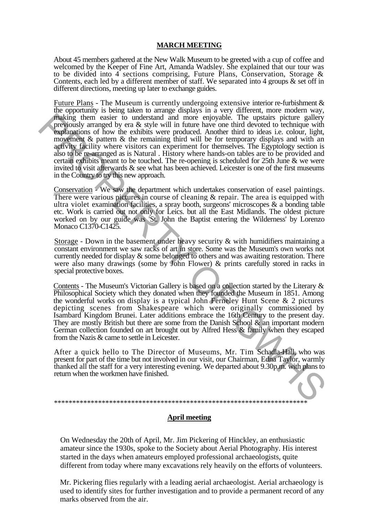### **MARCH MEETING**

About 45 members gathered at the New Walk Museum to be greeted with a cup of coffee and welcomed by the Keeper of Fine Art, Amanda Wadsley. She explained that our tour was to be divided into 4 sections comprising, Future Plans, Conservation, Storage & Contents, each led by a different member of staff. We separated into 4 groups & set off in different directions, meeting up later to exchange guides.

Future Plans - The Museum is currently undergoing extensive interior re-furbishment & the opportunity is being taken to arrange displays in a very different, more modern way, making them easier to understand and more enjoyable. The upstairs picture gallery previously arranged by era & style will in future have one third devoted to technique with explanations of how the exhibits were produced. Another third to ideas i.e. colour, light, movement & pattern & the remaining third will be for temporary displays and with an activity facility where visitors can experiment for themselves. The Egyptology section is also to be re-arranged as is Natural . History where hands-on tables are to be provided and certain exhibits meant to be touched. The re-opening is scheduled for 25th June & we were invited to visit afterwards & see what has been achieved. Leicester is one of the first museums in the Country to try this new approach. **Fraction** the acts in the interaction and more empeable. The upstains picture gallery than the product and the prediction of how the collisting that we produced. Another third to identic a deposite and movement & pattern

Conservation - We saw the department which undertakes conservation of easel paintings. There were various pictures in course of cleaning & repair. The area is equipped with ultra violet examination facilities, a spray booth, surgeons' microscopes & a bonding table etc. Work is carried out not only for Leics. but all the East Midlands. The oldest picture worked on by our guide was 'St. John the Baptist entering the Wilderness' by Lorenzo Monaco C1370-C1425.

Storage - Down in the basement under heavy security & with humidifiers maintaining a constant environment we saw racks of art in store. Some was the Museum's own works not currently needed for display & some belonged to others and was awaiting restoration. There were also many drawings (some by John Flower) & prints carefully stored in racks in special protective boxes.

Contents - The Museum's Victorian Gallery is based on a collection started by the Literary & Philosophical Society which they donated when they founded the Museum in 1851. Among the wonderful works on display is a typical John Ferneley Hunt Scene  $\&$  2 pictures depicting scenes from Shakespeare which were originally commissioned by Isambard Kingdom Brunei. Later additions embrace the 16th Century to the present day. They are mostly British but there are some from the Danish School  $\&$  an important modern German collection founded on art brought out by Alfred Hess & family when they escaped from the Nazis & came to settle in Leicester.

After a quick hello to The Director of Museums, Mr. Tim Schadla-Hall, who was present for part of the time but not involved in our visit, our Chairman, Edna Taylor, warmly thanked all the staff for a very interesting evening. We departed about 9.30p.m. with plans to return when the workmen have finished.

# **April meeting**

\*\*\*\*\*\*\*\*\*\*\*\*\*\*\*\*\*\*\*\*\*\*\*\*\*\*\*\*\*\*\*\*\*\*\*\*\*\*\*\*\*\*\*\*\*\*\*\*\*\*\*\*\*\*\*\*\*\*\*\*\*\*\*\*\*\*\*\*\*

On Wednesday the 20th of April, Mr. Jim Pickering of Hinckley, an enthusiastic amateur since the 1930s, spoke to the Society about Aerial Photography. His interest started in the days when amateurs employed professional archaeologists, quite different from today where many excavations rely heavily on the efforts of volunteers.

Mr. Pickering flies regularly with a leading aerial archaeologist. Aerial archaeology is used to identify sites for further investigation and to provide a permanent record of any marks observed from the air.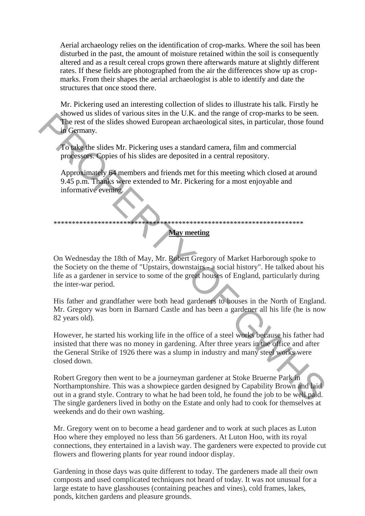Aerial archaeology relies on the identification of crop-marks. Where the soil has been disturbed in the past, the amount of moisture retained within the soil is consequently altered and as a result cereal crops grown there afterwards mature at slightly different rates. If these fields are photographed from the air the differences show up as cropmarks. From their shapes the aerial archaeologist is able to identify and date the structures that once stood there.

Mr. Pickering used an interesting collection of slides to illustrate his talk. Firstly he showed us slides of various sites in the U.K. and the range of crop-marks to be seen. The rest of the slides showed European archaeological sites, in particular, those found in Germany.

To take the slides Mr. Pickering uses a standard camera, film and commercial processors. Copies of his slides are deposited in a central repository.

Approximately 64 members and friends met for this meeting which closed at around 9.45 p.m. Thanks were extended to Mr. Pickering for a most enjoyable and informative evening.

# \*\*\*\*\*\*\*\*\*\*\*\*\*\*\*\*\*\*\*\*\*\*\*\*\*\*\*\*\*\*\*\*\*\*\*\*\*\*\*\*\*\*\*\*\*\*\*\*\*\*\*\*\*\*\*\*\*\*\*\*\*\*\*\*\*\*\*\*

# **May meeting**

On Wednesday the 18th of May, Mr. Robert Gregory of Market Harborough spoke to the Society on the theme of "Upstairs, downstairs - a social history". He talked about his life as a gardener in service to some of the great houses of England, particularly during the inter-war period.

His father and grandfather were both head gardeners to houses in the North of England. Mr. Gregory was born in Barnard Castle and has been a gardener all his life (he is now 82 years old).

However, he started his working life in the office of a steel works because his father had insisted that there was no money in gardening. After three years in the office and after the General Strike of 1926 there was a slump in industry and many steel works were closed down. The rest of the slides Mr. Pickering uses a standard carter and triangly or copy-manas to use scale.<br>
The rest of the slides Mr. Pickering uses a standard camera, film and commercial<br>
processors. Copies of his slides are d

Robert Gregory then went to be a journeyman gardener at Stoke Bruerne Park in Northamptonshire. This was a showpiece garden designed by Capability Brown and laid out in a grand style. Contrary to what he had been told, he found the job to be well paid. The single gardeners lived in bothy on the Estate and only had to cook for themselves at weekends and do their own washing.

Mr. Gregory went on to become a head gardener and to work at such places as Luton Hoo where they employed no less than 56 gardeners. At Luton Hoo, with its royal connections, they entertained in a lavish way. The gardeners were expected to provide cut flowers and flowering plants for year round indoor display.

Gardening in those days was quite different to today. The gardeners made all their own composts and used complicated techniques not heard of today. It was not unusual for a large estate to have glasshouses (containing peaches and vines), cold frames, lakes, ponds, kitchen gardens and pleasure grounds.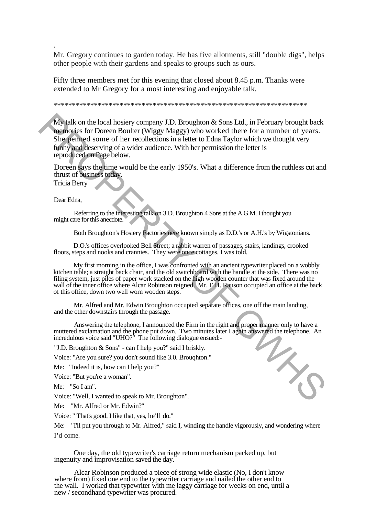Mr. Gregory continues to garden today. He has five allotments, still "double digs", helps other people with their gardens and speaks to groups such as ours.

Fifty three members met for this evening that closed about 8.45 p.m. Thanks were extended to Mr Gregory for a most interesting and enjoyable talk.

#### \*\*\*\*\*\*\*\*\*\*\*\*\*\*\*\*\*\*\*\*\*\*\*\*\*\*\*\*\*\*\*\*\*\*\*\*\*\*\*\*\*\*\*\*\*\*\*\*\*\*\*\*\*\*\*\*\*\*\*\*\*\*\*\*\*\*\*\*\*

My talk on the local hosiery company J.D. Broughton & Sons Ltd., in February brought back memories for Doreen Boulter (Wiggy Maggy) who worked there for a number of years. She penned some of her recollections in a letter to Edna Taylor which we thought very funny and deserving of a wider audience. With her permission the letter is reproduced on Page below. My talk on the local hossery company J.D. Broughton & Sons Ltd., in February brought back<br>
mannoins for Droren Boulder (Wiggy Maggy ) who worked there for a number of years.<br>
She penned some of ther recollections in a let

Doreen says the time would be the early 1950's. What a difference from the ruthless cut and thrust of business today.

Tricia Berry

.

Dear Edna,

Referring to the interesting talk on 3.D. Broughton 4 Sons at the A.G.M. I thought you might care for this anecdote.

Both Broughton's Hosiery Factories uere known simply as D.D.'s or A.H.'s by Wigstonians.

D.O.'s offices overlooked Bell Street; a rabbit warren of passages, stairs, landings, crooked floors, steps and nooks and crannies. They were once cottages, I was told.

My first morning in the office, I was confronted with an ancient typewriter placed on a wobbly kitchen table; a straight back chair, and the old switchboard with the handle at the side. There was no filing system, just piles of paper work stacked on the high wooden counter that was fixed around the wall of the inner office where Alcar Robinson reigned. Mr. E.H. Rauson occupied an office at the back of this office, down two well worn wooden steps.

Mr. Alfred and Mr. Edwin Broughton occupied separate offices, one off the main landing, and the other downstairs through the passage.

Answering the telephone, I announced the Firm in the right and proper manner only to have a muttered exclamation and the phone put down. Two minutes later I again answered the telephone. An incredulous voice said "UHO?" The following dialogue ensued:-

"J.D. Broughton & Sons" - can I help you?" said I briskly.

Voice: "Are you sure? you don't sound like 3.0. Brouqhton."

Me: "Indeed it is, how can I help you?"

Voice: "But you're a woman".

Me: "So I am".

Voice: "Well, I wanted to speak to Mr. Broughton".

Me: "Mr. Alfred or Mr. Edwin?"

Voice: " That's good, I like that, yes, he'll do."

Me: "I'll put you through to Mr. Alfred," said I, winding the handle vigorously, and wondering where I'd come.

One day, the old typewriter's carriage return mechanism packed up, but ingenuity and improvisation saved the day.

Alcar Robinson produced a piece of strong wide elastic (No, I don't know where from) fixed one end to the typewriter carriage and nailed the other end to the wall. I worked that typewriter with me laggy carriage for weeks on end, until a new / secondhand typewriter was procured.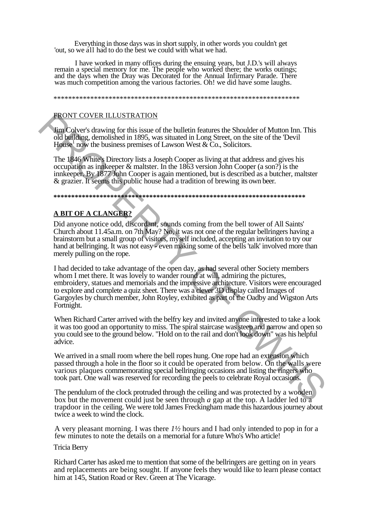Everything in those days was in short supply, in other words you couldn't get 'out, so we all had to do the best we could with what we had.

I have worked in many offices during the ensuing years, but J.D.'s will always remain a special memory for me. The people who worked there; the works outings; and the days when the Dray was Decorated for the Annual Infirmary Parade. There was much competition among the various factories. Oh! we did have some laughs.

\*\*\*\*\*\*\*\*\*\*\*\*\*\*\*\*\*\*\*\*\*\*\*\*\*\*\*\*\*\*\*\*\*\*\*\*\*\*\*\*\*\*\*\*\*\*\*\*\*\*\*\*\*\*\*\*\*\*\*\*\*\*\*\*\*\*\*

#### FRONT COVER ILLUSTRATION

Jim Colver's drawing for this issue of the bulletin features the Shoulder of Mutton Inn. This old building, demolished in 1895, was situated in Long Street, on the site of the 'Devil House<sup>1</sup> now the business premises of Lawson West  $\&$  Co., Solicitors.

The 1846 White's Directory lists a Joseph Cooper as living at that address and gives his occupation as innkeeper & maltster. In the 1863 version John Cooper (a son?) is the innkeeper. By 1877 John Cooper is again mentioned, but is described as a butcher, maltster & grazier. It seems this public house had a tradition of brewing its own beer.

#### **\*\*\*\*\*\*\*\*\*\*\*\*\*\*\*\*\*\*\*\*\*\*\*\*\*\*\*\*\*\*\*\*\*\*\*\*\*\*\*\*\*\*\*\*\*\*\*\*\*\*\*\*\*\*\*\*\*\*\*\*\*\*\*\*\*\*\*\*\*\*\***

#### **A BIT OF A CLANGER?**

Did anyone notice odd, discordant, sounds coming from the bell tower of All Saints' Church about 11.45a.m. on 7th May? No, it was not one of the regular bellringers having a brainstorm but a small group of visitors, myself included, accepting an invitation to try our hand at bellringing. It was not easy - even making some of the bells 'talk' involved more than merely pulling on the rope.

I had decided to take advantage of the open day, as had several other Society members whom I met there. It was lovely to wander round at will, admiring the pictures, embroidery, statues and memorials and the impressive architecture. Visitors were encouraged to explore and complete a quiz sheet. There was a clever 3D display called Images of Gargoyles by church member, John Royley, exhibited as part of the Oadby and Wigston Arts Fortnight. **FRONT COVER ILLUSTRATION**<br>
Imaging for this since of the bullchin features the Shoulder of Mutton Inn. This<br>
ind biffding, demolished in 1895, was stituated in Long Street, on the site of the Devil<br>
Horse how the busines

When Richard Carter arrived with the belfry key and invited anyone interested to take a look it was too good an opportunity to miss. The spiral staircase was steep and narrow and open so you could see to the ground below. "Hold on to the rail and don't look down" was his helpful advice.

We arrived in a small room where the bell ropes hung. One rope had an extension which passed through a hole in the floor so it could be operated from below. On the walls were various plaques commemorating special bellringing occasions and listing the ringers who took part. One wall was reserved for recording the peels to celebrate Royal occasions.

The pendulum of the clock protruded through the ceiling and was protected by a wooden box but the movement could just be seen through *a* gap at the top. A ladder led to a trapdoor in the ceiling. We were told James Freckingham made this hazardous journey about twice a week to wind the clock.

A very pleasant morning. I was there *1½* hours and I had only intended to pop in for a few minutes to note the details on a memorial for a future Who's Who article!

#### Tricia Berry

Richard Carter has asked me to mention that some of the bellringers are getting on in years and replacements are being sought. If anyone feels they would like to learn please contact him at 145, Station Road or Rev. Green at The Vicarage.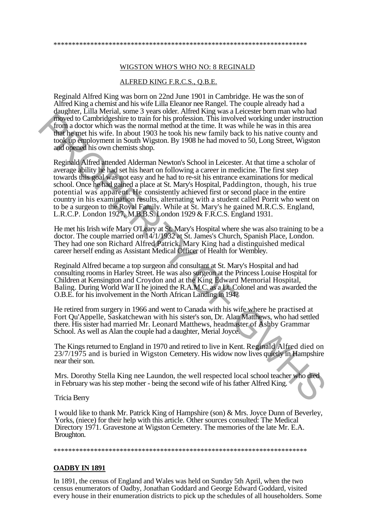#### WIGSTON WHO'S WHO NO: 8 REGINALD

#### ALFRED KING F.R.C.S., Q.B.E.

Reginald Alfred King was born on 22nd June 1901 in Cambridge. He was the son of Alfred King a chemist and his wife Lilla Eleanor nee Rangel. The couple already had a daughter, Lilla Merial, some 3 years older. Alfred King was a Leicester born man who had moved to Cambridgeshire to train for his profession. This involved working under instruction from a doctor which was the normal method at the time. It was while he was in this area that he met his wife. In about 1903 he took his new family back to his native county and took up employment in South Wigston. By 1908 he had moved to 50, Long Street, Wigston and opened his own chemists shop.

Reginald Alfred attended Alderman Newton's School in Leicester. At that time a scholar of average ability he had set his heart on following a career in medicine. The first step towards this goal was not easy and he had to re-sit his entrance examinations for medical school. Once he had gained a place at St. Mary's Hospital, Paddington, though, his true potential was apparent. He consistently achieved first or second place in the entire country in his examination results, alternating with a student called Porrit who went on to be a surgeon to the Royal Family. While at St. Mary's he gained M.R.C.S. England, L.R.C.P. London 1927, M.B.B.S. London 1929 & F.R.C.S. England 1931. **PRORE II** Contridensities to train for his probassion. This involved uncir<br>are from a doctor which was the normal method at the time. It was while he was in this area<br>
then the uncer his wife. In about 1903 he took his n

He met his Irish wife Mary O'Leary at St. Mary's Hospital where she was also training to be a doctor. The couple married on 14/1/1932 at St. James's Church, Spanish Place, London. They had one son Richard Alfred Patrick. Mary King had a distinguished medical career herself ending as Assistant Medical Officer of Health for Wembley.

Reginald Alfred became a top surgeon and consultant at St. Mary's Hospital and had consulting rooms in Harley Street. He was also surgeon at the Princess Louise Hospital for Children at Kensington and Croydon and at the King Edward Memorial Hospital, Baling. During World War II he joined the R.A.M.C. as a Lt. Colonel and was awarded the O.B.E. for his involvement in the North African Landing in 194?

He retired from surgery in 1966 and went to Canada with his wife where he practised at Fort Qu'Appelle, Saskatchewan with his sister's son, Dr. Alan Matthews, who had settled there. His sister had married Mr. Leonard Matthews, headmaster of Ashby Grammar School. As well as Alan the couple had a daughter, Merial Joyce.

The Kings returned to England in 1970 and retired to live in Kent. Reginald Alfred died on  $23/7/1975$  and is buried in Wigston Cemetery. His widow now lives quietly in Hampshire near their son.

Mrs. Dorothy Stella King nee Laundon, the well respected local school teacher who died in February was his step mother - being the second wife of his father Alfred King.

Tricia Berry

I would like to thank Mr. Patrick King of Hampshire (son) & Mrs. Joyce Dunn of Beverley, Yorks, (niece) for their help with this article. Other sources consulted: The Medical Directory 1971. Gravestone at Wigston Cemetery. The memories of the late Mr. E.A. Broughton.

\*\*\*\*\*\*\*\*\*\*\*\*\*\*\*\*\*\*\*\*\*\*\*\*\*\*\*\*\*\*\*\*\*\*\*\*\*\*\*\*\*\*\*\*\*\*\*\*\*\*\*\*\*\*\*\*\*\*\*\*\*\*\*\*\*\*\*\*\*

#### **OADBY IN 1891**

In 1891, the census of England and Wales was held on Sunday 5th April, when the two census enumerators of Oadby, Jonathan Goddard and George Edward Goddard, visited every house in their enumeration districts to pick up the schedules of all householders. Some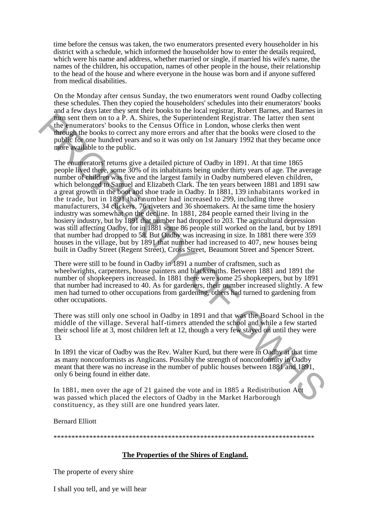time before the census was taken, the two enumerators presented every householder in his district with a schedule, which informed the householder how to enter the details required, which were his name and address, whether married or single, if married his wife's name, the names of the children, his occupation, names of other people in the house, their relationship to the head of the house and where everyone in the house was born and if anyone suffered from medical disabilities.

On the Monday after census Sunday, the two enumerators went round Oadby collecting these schedules. Then they copied the householders' schedules into their enumerators' books and a few days later they sent their books to the local registrar, Robert Barnes, and Barnes in turn sent them on to a P. A. Shires, the Superintendent Registrar. The latter then sent the enumerators' books to the Census Office in London, whose clerks then went through the books to correct any more errors and after that the books were closed to the public for one hundred years and so it was only on 1st January 1992 that they became once more available to the public.

The enumerators' returns give a detailed picture of Oadby in 1891. At that time 1865 people lived there, some 30% of its inhabitants being under thirty years of age. The average number of children was five and the largest family in Oadby numbered eleven children, which belonged to Samuel and Elizabeth Clark. The ten years between 1881 and 1891 saw a great growth in the boot and shoe trade in Oadby. In 1881, 139 inhabitants worked in the trade, but in 1891 that number had increased to 299, including three manufacturers, 34 clickers, 76 riveters and 36 shoemakers. At the same time the hosiery industry was somewhat on the decline. In 1881, 284 people earned their living in the hosiery industry, but by 1891 that number had dropped to 203. The agricultural depression was still affecting Oadby, for in 1881 some 86 people still worked on the land, but by 1891 that number had dropped to 58. But Oadby was increasing in size. In 1881 there were 359 houses in the village, but by 1891 that number had increased to 407, new houses being built in Oadby Street (Regent Street), Cross Street, Beaumont Street and Spencer Street. **Fra** sent then on to a  $P$ . A. Shires, the Superintendent Registrar. The latter then os the summerators' books to the Census Office in London, whose clerks then went<br>the public follooks to correct any more errors and aft

There were still to be found in Oadby in 1891 a number of craftsmen, such as wheelwrights, carpenters, house painters and blacksmiths. Between 1881 and 1891 the number of shopkeepers increased. In 1881 there were some 25 shopkeepers, but by 1891 that number had increased to 40. As for gardeners, their number increased slightly. A few men had turned to other occupations from gardening, others had turned to gardening from other occupations.

There was still only one school in Oadby in 1891 and that was the Board School in the middle of the village. Several half-timers attended the school and while a few started their school life at 3, most children left at 12, though a very few stayed on until they were 13.

In 1891 the vicar of Oadby was the Rev. Walter Kurd, but there were in Oadby at that time as many nonconformists as Anglicans. Possibly the strength of nonconformity in Oadby meant that there was no increase in the number of public houses between 1881 and 1891, only 6 being found in either date.

In 1881, men over the age of 21 gained the vote and in 1885 a Redistribution Act was passed which placed the electors of Oadby in the Market Harborough constituency, as they still are one hundred years later.

Bernard Elliott

\*\*\*\*\*\*\*\*\*\*\*\*\*\*\*\*\*\*\*\*\*\*\*\*\*\*\*\*\*\*\*\*\*\*\*\*\*\*\*\*\*\*\*\*\*\*\*\*\*\*\*\*\*\*\*\*\*\*\*\*\*\*\*\*\*\*\*\*\*\*\*\*\*

# **The Properties of the Shires of England.**

The properte of every shire

I shall you tell, and ye will hear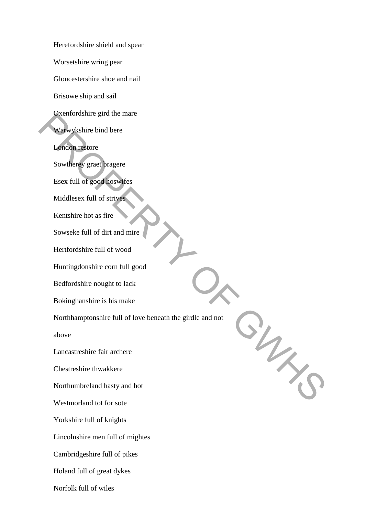Herefordshire shield and spear Worsetshire wring pear Gloucestershire shoe and nail Brisowe ship and sail Oxenfordshire gird the mare Warwykshire bind bere London restore Sowtherey graet bragere Esex full of good hoswifes Middlesex full of strives Kentshire hot as fire Sowseke full of dirt and mire Hertfordshire full of wood Huntingdonshire corn full good Bedfordshire nought to lack Bokinghanshire is his make Northhamptonshire full of love beneath the girdle and not above Lancastreshire fair archere Chestreshire thwakkere Northumbreland hasty and hot Westmorland tot for sote Yorkshire full of knights Lincolnshire men full of mightes Cambridgeshire full of pikes Holand full of great dykes Norfolk full of wiles ON THE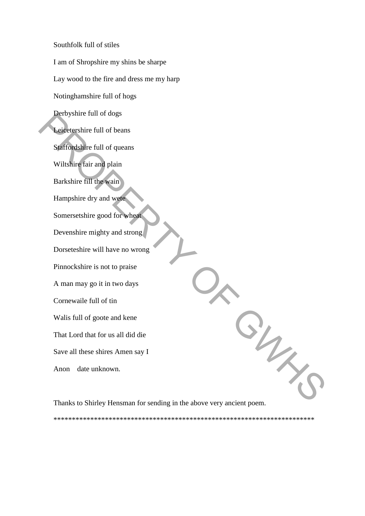Southfolk full of stiles I am of Shropshire my shins be sharpe Lay wood to the fire and dress me my harp Notinghamshire full of hogs Derbyshire full of dogs Leicetershire full of beans Staffordshire full of queans Wiltshire fair and plain Barkshire fill the wain Hampshire dry and wete Somersetshire good for wheat Devenshire mighty and strong Dorseteshire will have no wrong Pinnockshire is not to praise A man may go it in two days Cornewaile full of tin Walis full of goote and kene That Lord that for us all did die Save all these shires Amen say I Anon date unknown.  $\frac{2}{\gamma}$ 

Thanks to Shirley Hensman for sending in the above very ancient poem.

\*\*\*\*\*\*\*\*\*\*\*\*\*\*\*\*\*\*\*\*\*\*\*\*\*\*\*\*\*\*\*\*\*\*\*\*\*\*\*\*\*\*\*\*\*\*\*\*\*\*\*\*\*\*\*\*\*\*\*\*\*\*\*\*\*\*\*\*\*\*\*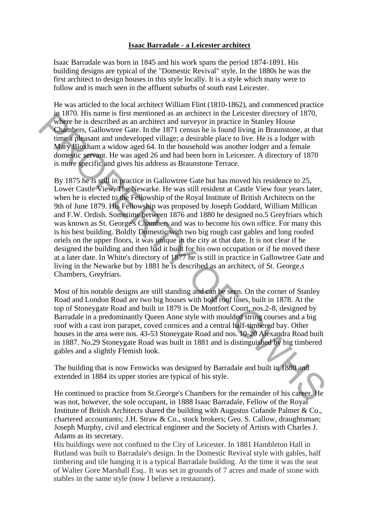# **Isaac Barradale - a Leicester architect**

Isaac Barradale was born in 1845 and his work spans the period 1874-1891. His building designs are typical of the "Domestic Revival" style. In the 1880s he was the first architect to design houses in this style locally. It is a style which many were to follow and is much seen in the affluent suburbs of south east Leicester.

He was articled to the local architect William Flint (1810-1862), and commenced practice in 1870. His name is first mentioned as an architect in the Leicester directory of 1870, where he is described as an architect and surveyor in practice in Stanley House Chambers, Gallowtree Gate. In the 1871 census he is found living in Braunstone, at that time a pleasant and undeveloped village; a desirable place to live. He is a lodger with Mary Bloxham a widow aged 64. In the household was another lodger and a female domestic servant. He was aged 26 and had been born in Leicester. A directory of 1870 is more specific and gives his address as Braunstone Terrace.

By 1875 he is still in practice in Gallowtree Gate but has moved his residence to 25, Lower Castle View, The Newarke. He was still resident at Castle View four years later, when he is elected to the Fellowship of the Royal Institute of British Architects on the 9th of June 1879. His Fellowship was proposed by Joseph Goddard, William Millican and F.W. Ordish. Sometime between 1876 and 1880 he designed no.5 Greyfriars which was known as St. George's Chambers and was to become his own office. For many this is his best building. Boldly Domestic with two big rough cast gables and long roofed oriels on the upper floors, it was unique in the city at that date. It is not clear if he designed the building and then had it built for his own occupation or if he moved there at a later date. In White's directory of 1877 he is still in practice in Gallowtree Gate and living in the Newarke but by 1881 he is described as an architect, of St. George,s Chambers, Greyfriars. in so the since in star meaning the since that the case of motion and the since the since the since the since the since of the since of the since the since of the since of the since of the since of the since of the since

Most of his notable designs are still standing and can be seen. On the corner of Stanley Road and London Road are two big houses with bold roof lines, built in 1878. At the top of Stoneygate Road and built in 1879 is De Montfort Court, nos.2-8, designed by Barradale in a predominantly Queen Anne style with moulded string courses and a big roof with a cast iron parapet, coved cornices and a central half-timbered bay. Other houses in the area were nos. 43-53 Stoneygate Road and nos. 10-20 Alexandra Road built in 1887. No.29 Stoneygate Road was built in 1881 and is distinguished by big timbered gables and a slightly Flemish look.

The building that is now Fenwicks was designed by Barradale and built in 1880 and extended in 1884 its upper stories are typical of his style.

He continued to practice from St.George's Chambers for the remainder of his career. He was not, however, the sole occupant, in 1888 Isaac Barradale, Fellow of the Royal Institute of British Architects shared the building with Augustus Cufande Palmer & Co., chartered accountants; J.H. Straw & Co., stock brokers; Geo. S. Callow, draughtsman; Joseph Murphy, civil and electrical engineer and the Society of Artists with Charles J. Adams as its secretary.

His buildings were not confined to the City of Leicester. In 1881 Hambleton Hall in Rutland was built to Barradale's design. In the Domestic Revival style with gables, half timbering and tile hanging it is a typical Barradale building. At the time it was the seat of Walter Gore Marshall Esq.. It was set in grounds of 7 acres and made of stone with stables in the same style (now I believe a restaurant).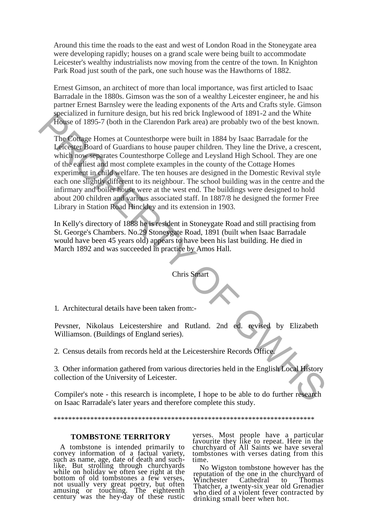Around this time the roads to the east and west of London Road in the Stoneygate area were developing rapidly; houses on a grand scale were being built to accommodate Leicester's wealthy industrialists now moving from the centre of the town. In Knighton Park Road just south of the park, one such house was the Hawthorns of 1882.

Ernest Gimson, an architect of more than local importance, was first articled to Isaac Barradale in the 1880s. Gimson was the son of a wealthy Leicester engineer, he and his partner Ernest Barnsley were the leading exponents of the Arts and Crafts style. Gimson specialized in furniture design, but his red brick Inglewood of 1891-2 and the White House of 1895-7 (both in the Clarendon Park area) are probably two of the best known.

The Cottage Homes at Countesthorpe were built in 1884 by Isaac Barradale for the Leicester Board of Guardians to house pauper children. They line the Drive, a crescent, which now separates Countesthorpe College and Leysland High School. They are one of the earliest and most complete examples in the county of the Cottage Homes experiment in child welfare. The ten houses are designed in the Domestic Revival style each one slightly different to its neighbour. The school building was in the centre and the infirmary and boiler house were at the west end. The buildings were designed to hold about 200 children and various associated staff. In 1887/8 he designed the former Free Library in Station Road Hinckley and its extension in 1903. Specialized in turnular easily, but mis Fen over methods of 1691-2 and the while<br>Howe of 1895-7 (both in the Clarendon Park area) are probably two of the best known.<br>The Coltage Homes at Counteshorpe were built in 1884 by

In Kelly's directory of 1888 he is resident in Stoneygate Road and still practising from St. George's Chambers. No.29 Stoneygate Road, 1891 (built when Isaac Barradale would have been 45 years old) appears to have been his last building. He died in March 1892 and was succeeded in practice by Amos Hall.

Chris Smart

1. Architectural details have been taken from:-

Pevsner, Nikolaus Leicestershire and Rutland. 2nd ed. revised by Elizabeth Williamson. (Buildings of England series).

2. Census details from records held at the Leicestershire Records Office.

3. Other information gathered from various directories held in the English Local History collection of the University of Leicester.

Compiler's note - this research is incomplete, I hope to be able to do further research on Isaac Rarradale's later years and therefore complete this study.

#### \*\*\*\*\*\*\*\*\*\*\*\*\*\*\*\*\*\*\*\*\*\*\*\*\*\*\*\*\*\*\*\*\*\*\*\*\*\*\*\*\*\*\*\*\*\*\*\*\*\*\*\*\*\*\*\*\*\*\*\*\*\*\*\*\*\*\*\*\*\*\*

#### **TOMBSTONE TERRITORY**

A tombstone is intended primarily to convey information of a factual variety, such as name, age, date of death and suchlike. But strolling through churchyards while on holiday we often see right at the bottom of old tombstones a few verses, not usually very great poetry, but often amusing or touching. The eighteenth century was the hey-day of these rustic

verses. Most people have a particular favourite they like to repeat. Here in the churchyard of All Saints we have several tombstones with verses dating from this time.

No Wigston tombstone however has the reputation of the one in the churchyard of Winchester Cathedral to Thomas Thatcher, a twenty-six year old Grenadier who died of a violent fever contracted by drinking small beer when hot.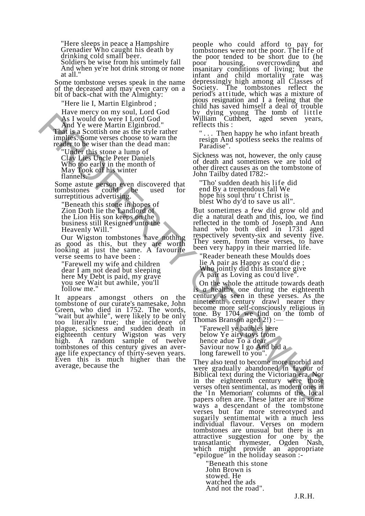"Here sleeps in peace a Hampshire Grenadier Who caught his death by drinking cold small beer.

Soldiers be wise from his untimely fall And when ye're hot drink strong or none at all."

Some tombstone verses speak in the name of the deceased and may even carry on a bit of back-chat with the Almighty:

"Here lie I, Martin Elginbrod ;

Have mercy on my soul, Lord God As I would do were I Lord God And Ye were Martin Elginbrod." That is a Scottish one as the style rather implies. Some verses choose to warn the reader to be wiser than the dead man:

"Under this stone a lump of Clay Lies Uncle Peter Daniels Who too early in the month of May Took off his winter flannels."

Some astute person even discovered that tombstones could be used for surreptitious advertising.

"Beneath this stone in hopes of Zion Doth lie the Landlord of the Lion His son keeps on the business still Resigned unto the Heavenly Will."

Our Wigston tombstones have nothing as good as this, but they are worth looking at just the same. A favourite verse seems to have been :

"Farewell my wife and children dear I am not dead but sleeping here My Debt is paid, my grave you see Wait but awhile, you'll follow me."

It appears amongst others on the tombstone of our curate's namesake, John Green, who died in 1752. The words, "wait but awhile", were likely to be only too literally true; the incidence of plague, sickness and sudden death in eighteenth century Wigston was very high. A random sample of twelve tombstones of this century gives an average life expectancy of thirty-seven years. Even this is much higher than the average, because the And Ye were Martin Elginbod.<br>
And Ye were Martin Elginbod.<br>
Was included a weer a the system can be seen to see that the system in the system of the system in the system in the system in the system in the system in the sy

people who could afford to pay for tombstones were not the poor. The life of the poor tended to be short due to (he poor housing, overcrowding and overcrowding insanitary conditions of living; but the infant and child mortality depressingly high among all Classes of Society. The tombstones reflect the The tombstones reflect the period's attitude, which was a mixture of pious resignation and I a feeling that the child has saved himself a deal of trouble by dying young The tomb of little William Cuthbert, aged seven years, reflects this :

" . . . Then happy he who infant breath resign And spotless seeks the realms of Paradise".

Sickness was not, however, the only cause of death and sometimes we are told of other direct causes as on the tombstone of John Tailby dated I782:-

"Tho' sudden death his life did end By a tremendous fall We hope his soul thru' t Christ is blest Who dy'd to save us all".

But sometimes a few did grow old and die a natural death and this, loo, we find reflected in the tomb of Joseph and Ann hand who both died in 1731 aged respectively seventy-six and seventy five. They seem, from these verses, to have been very happy in their married life.

"Reader beneath these Moulds does lie A pair as Happy as cou'd die ; Who jointly did this Instance give A pair as Loving as cou'd live".

On the whole the attitude towards death is *a* healthv one during the eighteenth century as seen in these verses. As the nineteenth century drawl nearer they become more self-consciously religious in tone. By 1704 we find on the tomb of Thomas Branson aged 2!) :—

"Farewell ye baubles here below Ye airy toys from hence adue To a dear Saviour now I go And bid a long farewell to you".

They also tend to become more morbid and were gradually abandoned in favour of Biblical text during the Victorian era. Nor in the eighteenth century were those verses often sentimental, as modern ones in the 'In Memoriam' columns of the local papers often are. These latter are in some ways a descendant of the tombstone verses but far more stereotyped and sugarily sentimental with a much less individual flavour. Verses on modern tombstones are unusual but there is an attractive suggestion for one by the transatlantic rhymester, Ogden Nash, which might provide an appropriate "epilogue" in the holiday season :-

"Beneath this stone John Brown is stowed. He watched the ads And not the road".